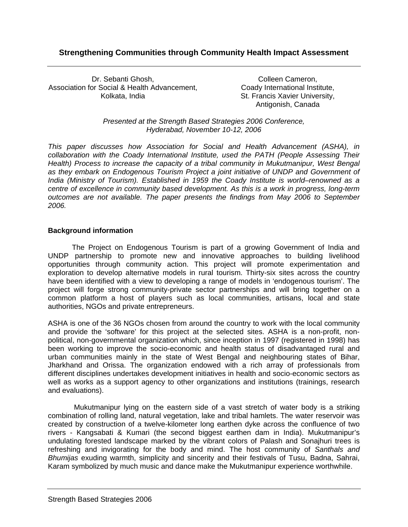# **Strengthening Communities through Community Health Impact Assessment**

Dr. Sebanti Ghosh, Association for Social & Health Advancement, Kolkata, India

Colleen Cameron, Coady International Institute, St. Francis Xavier University, Antigonish, Canada

*Presented at the Strength Based Strategies 2006 Conference, Hyderabad, November 10-12, 2006* 

*This paper discusses how Association for Social and Health Advancement (ASHA), in collaboration with the Coady International Institute, used the PATH (People Assessing Their Health) Process to increase the capacity of a tribal community in Mukutmanipur, West Bengal as they embark on Endogenous Tourism Project a joint initiative of UNDP and Government of India (Ministry of Tourism). Established in 1959 the Coady Institute is world–renowned as a centre of excellence in community based development. As this is a work in progress, long-term outcomes are not available. The paper presents the findings from May 2006 to September 2006.* 

## **Background information**

The Project on Endogenous Tourism is part of a growing Government of India and UNDP partnership to promote new and innovative approaches to building livelihood opportunities through community action. This project will promote experimentation and exploration to develop alternative models in rural tourism. Thirty-six sites across the country have been identified with a view to developing a range of models in 'endogenous tourism'. The project will forge strong community-private sector partnerships and will bring together on a common platform a host of players such as local communities, artisans, local and state authorities, NGOs and private entrepreneurs.

ASHA is one of the 36 NGOs chosen from around the country to work with the local community and provide the 'software' for this project at the selected sites. ASHA is a non-profit, nonpolitical, non-governmental organization which, since inception in 1997 (registered in 1998) has been working to improve the socio-economic and health status of disadvantaged rural and urban communities mainly in the state of West Bengal and neighbouring states of Bihar, Jharkhand and Orissa. The organization endowed with a rich array of professionals from different disciplines undertakes development initiatives in health and socio-economic sectors as well as works as a support agency to other organizations and institutions (trainings, research and evaluations).

 Mukutmanipur lying on the eastern side of a vast stretch of water body is a striking combination of rolling land, natural vegetation, lake and tribal hamlets. The water reservoir was created by construction of a twelve-kilometer long earthen dyke across the confluence of two rivers - Kangsabati & Kumari (the second biggest earthen dam in India). Mukutmanipur's undulating forested landscape marked by the vibrant colors of Palash and Sonajhuri trees is refreshing and invigorating for the body and mind. The host community of *Santhals and Bhumijas* exuding warmth, simplicity and sincerity and their festivals of Tusu, Badna, Sahrai, Karam symbolized by much music and dance make the Mukutmanipur experience worthwhile.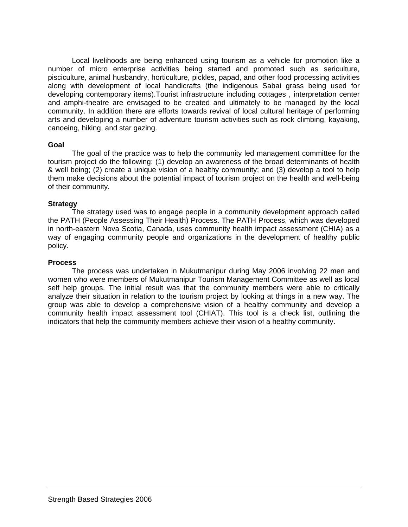Local livelihoods are being enhanced using tourism as a vehicle for promotion like a number of micro enterprise activities being started and promoted such as sericulture, pisciculture, animal husbandry, horticulture, pickles, papad, and other food processing activities along with development of local handicrafts (the indigenous Sabai grass being used for developing contemporary items).Tourist infrastructure including cottages , interpretation center and amphi-theatre are envisaged to be created and ultimately to be managed by the local community. In addition there are efforts towards revival of local cultural heritage of performing arts and developing a number of adventure tourism activities such as rock climbing, kayaking, canoeing, hiking, and star gazing.

### **Goal**

The goal of the practice was to help the community led management committee for the tourism project do the following: (1) develop an awareness of the broad determinants of health & well being; (2) create a unique vision of a healthy community; and (3) develop a tool to help them make decisions about the potential impact of tourism project on the health and well-being of their community.

### **Strategy**

The strategy used was to engage people in a community development approach called the PATH (People Assessing Their Health) Process. The PATH Process, which was developed in north-eastern Nova Scotia, Canada, uses community health impact assessment (CHIA) as a way of engaging community people and organizations in the development of healthy public policy.

### **Process**

The process was undertaken in Mukutmanipur during May 2006 involving 22 men and women who were members of Mukutmanipur Tourism Management Committee as well as local self help groups. The initial result was that the community members were able to critically analyze their situation in relation to the tourism project by looking at things in a new way. The group was able to develop a comprehensive vision of a healthy community and develop a community health impact assessment tool (CHIAT). This tool is a check list, outlining the indicators that help the community members achieve their vision of a healthy community.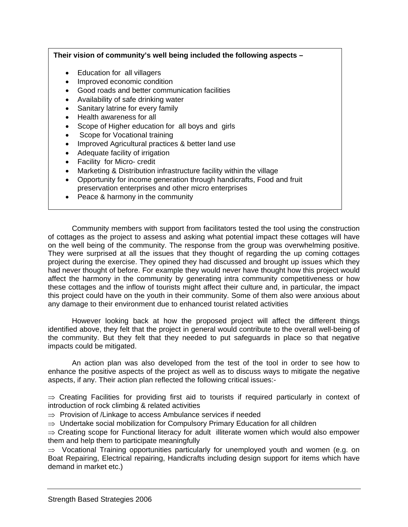## **Their vision of community's well being included the following aspects –**

- Education for all villagers
- Improved economic condition
- Good roads and better communication facilities
- Availability of safe drinking water
- Sanitary latrine for every family
- Health awareness for all
- Scope of Higher education for all boys and girls
- **Scope for Vocational training**
- Improved Agricultural practices & better land use
- Adequate facility of irrigation
- Facility for Micro- credit
- Marketing & Distribution infrastructure facility within the village
- Opportunity for income generation through handicrafts, Food and fruit preservation enterprises and other micro enterprises
- Peace & harmony in the community

Community members with support from facilitators tested the tool using the construction of cottages as the project to assess and asking what potential impact these cottages will have on the well being of the community. The response from the group was overwhelming positive. They were surprised at all the issues that they thought of regarding the up coming cottages project during the exercise. They opined they had discussed and brought up issues which they had never thought of before. For example they would never have thought how this project would affect the harmony in the community by generating intra community competitiveness or how these cottages and the inflow of tourists might affect their culture and, in particular, the impact this project could have on the youth in their community. Some of them also were anxious about any damage to their environment due to enhanced tourist related activities

However looking back at how the proposed project will affect the different things identified above, they felt that the project in general would contribute to the overall well-being of the community. But they felt that they needed to put safeguards in place so that negative impacts could be mitigated.

An action plan was also developed from the test of the tool in order to see how to enhance the positive aspects of the project as well as to discuss ways to mitigate the negative aspects, if any. Their action plan reflected the following critical issues:-

 $\Rightarrow$  Creating Facilities for providing first aid to tourists if required particularly in context of introduction of rock climbing & related activities

- $\Rightarrow$  Provision of /Linkage to access Ambulance services if needed
- $\Rightarrow$  Undertake social mobilization for Compulsory Primary Education for all children

⇒ Creating scope for Functional literacy for adult illiterate women which would also empower them and help them to participate meaningfully

⇒ Vocational Training opportunities particularly for unemployed youth and women (e.g. on Boat Repairing, Electrical repairing, Handicrafts including design support for items which have demand in market etc.)